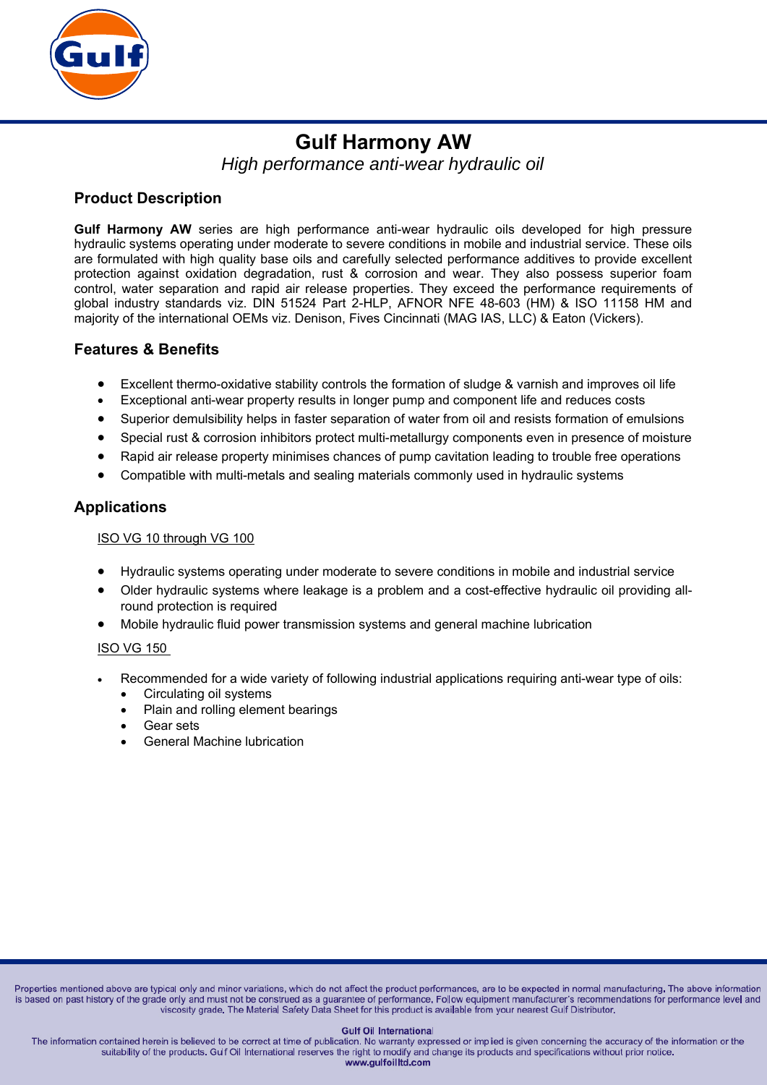

# **Gulf Harmony AW**

*High performance anti-wear hydraulic oil*

# **Product Description**

Gulf Harmony AW series are high performance anti-wear hydraulic oils developed for high pressure hydraulic systems operating under moderate to severe conditions in mobile and industrial service. These oils are formulated with high quality base oils and carefully selected performance additives to provide excellent protection against oxidation degradation, rust & corrosion and wear. They also possess superior foam control, water separation and rapid air release properties. They exceed the performance requirements of global industry standards viz. DIN 51524 Part 2-HLP, AFNOR NFE 48-603 (HM) & ISO 11158 HM and majority of the international OEMs viz. Denison, Fives Cincinnati (MAG IAS, LLC) & Eaton (Vickers).

# **Features & Benefits**

- Excellent thermo-oxidative stability controls the formation of sludge & varnish and improves oil life
- Exceptional anti-wear property results in longer pump and component life and reduces costs
- Superior demulsibility helps in faster separation of water from oil and resists formation of emulsions
- Special rust & corrosion inhibitors protect multi-metallurgy components even in presence of moisture
- Rapid air release property minimises chances of pump cavitation leading to trouble free operations
- Compatible with multi-metals and sealing materials commonly used in hydraulic systems

## **Applications**

#### ISO VG 10 through VG 100

- Hydraulic systems operating under moderate to severe conditions in mobile and industrial service
- Older hydraulic systems where leakage is a problem and a cost-effective hydraulic oil providing allround protection is required
- Mobile hydraulic fluid power transmission systems and general machine lubrication

### ISO VG 150

- Recommended for a wide variety of following industrial applications requiring anti-wear type of oils:
	- Circulating oil systems
	- Plain and rolling element bearings
	- Gear sets
	- General Machine lubrication

Properties mentioned above are typical only and minor variations, which do not affect the product performances, are to be expected in normal manufacturing. The above information is based on past history of the grade only and must not be construed as a guarantee of performance. Follow equipment manufacturer's recommendations for performance level and<br>is based on past history of the grade only and m

#### **Gulf Oil International**

The information contained herein is believed to be correct at time of publication. No warranty expressed or implied is given concerning the accuracy of the information or the suitability of the products. Gulf Oil International reserves the right to modify and change its products and specifications without prior notice. www.gulfoilltd.com